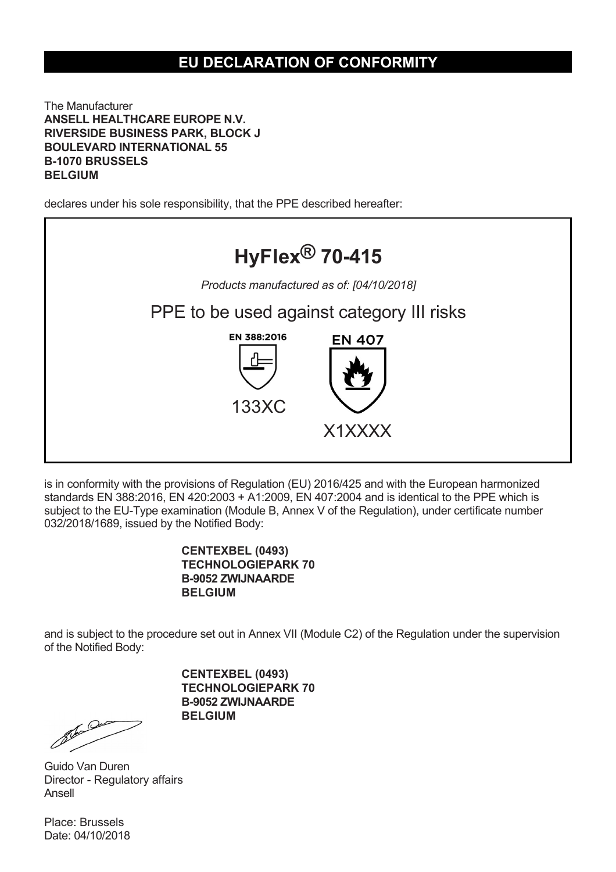## **EU DECLARATION OF CONFORMITY**

The Manufacturer **ANSELL HEALTHCARE EUROPE N.V. RIVERSIDE BUSINESS PARK, BLOCK J BOULEVARD INTERNATIONAL 55 B-1070 BRUSSELS BELGIUM**

declares under his sole responsibility, that the PPE described hereafter:



is in conformity with the provisions of Regulation (EU) 2016/425 and with the European harmonized standards EN 388:2016, EN 420:2003 + A1:2009, EN 407:2004 and is identical to the PPE which is subject to the EU-Type examination (Module B, Annex V of the Regulation), under certificate number 032/2018/1689, issued by the Notified Body:

## **CENTEXBEL (0493) TECHNOLOGIEPARK 70 B-9052 ZWIJNAARDE BELGIUM**

and is subject to the procedure set out in Annex VII (Module C2) of the Regulation under the supervision of the Notified Body:

> **CENTEXBEL (0493) TECHNOLOGIEPARK 70 B-9052 ZWIJNAARDE BELGIUM**

Romando Company Company

Guido Van Duren Director - Regulatory affairs Ansell

Place: Brussels Date: 04/10/2018